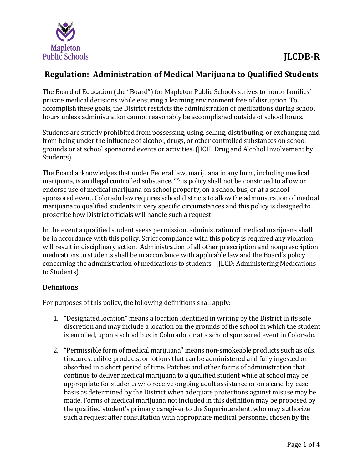

## **Regulation: Administration of Medical Marijuana to Qualified Students**

The Board of Education (the "Board") for Mapleton Public Schools strives to honor families' private medical decisions while ensuring a learning environment free of disruption. To accomplish these goals, the District restricts the administration of medications during school hours unless administration cannot reasonably be accomplished outside of school hours.

Students are strictly prohibited from possessing, using, selling, distributing, or exchanging and from being under the influence of alcohol, drugs, or other controlled substances on school grounds or at school sponsored events or activities. (JICH: Drug and Alcohol Involvement by Students)

The Board acknowledges that under Federal law, marijuana in any form, including medical marijuana, is an illegal controlled substance. This policy shall not be construed to allow or endorse use of medical marijuana on school property, on a school bus, or at a schoolsponsored event. Colorado law requires school districts to allow the administration of medical marijuana to qualified students in very specific circumstances and this policy is designed to proscribe how District officials will handle such a request.

In the event a qualified student seeks permission, administration of medical marijuana shall be in accordance with this policy. Strict compliance with this policy is required any violation will result in disciplinary action. Administration of all other prescription and nonprescription medications to students shall be in accordance with applicable law and the Board's policy concerning the administration of medications to students. (JLCD: Administering Medications to Students)

## **Definitions**

For purposes of this policy, the following definitions shall apply:

- 1. "Designated location" means a location identified in writing by the District in its sole discretion and may include a location on the grounds of the school in which the student is enrolled, upon a school bus in Colorado, or at a school sponsored event in Colorado.
- 2. "Permissible form of medical marijuana" means non-smokeable products such as oils, tinctures, edible products, or lotions that can be administered and fully ingested or absorbed in a short period of time. Patches and other forms of administration that continue to deliver medical marijuana to a qualified student while at school may be appropriate for students who receive ongoing adult assistance or on a case-by-case basis as determined by the District when adequate protections against misuse may be made. Forms of medical marijuana not included in this definition may be proposed by the qualified student's primary caregiver to the Superintendent, who may authorize such a request after consultation with appropriate medical personnel chosen by the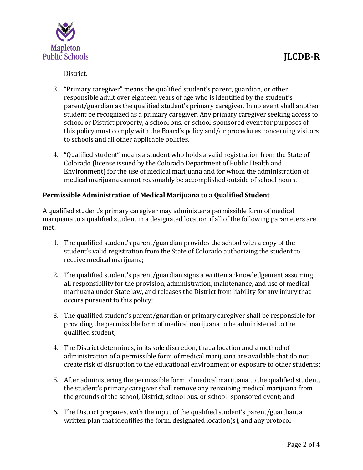

District.

- 3. "Primary caregiver" means the qualified student's parent, guardian, or other responsible adult over eighteen years of age who is identified by the student's parent/guardian as the qualified student's primary caregiver. In no event shall another student be recognized as a primary caregiver. Any primary caregiver seeking access to school or District property, a school bus, or school-sponsored event for purposes of this policy must comply with the Board's policy and/or procedures concerning visitors to schools and all other applicable policies.
- 4. "Qualified student" means a student who holds a valid registration from the State of Colorado (license issued by the Colorado Department of Public Health and Environment) for the use of medical marijuana and for whom the administration of medical marijuana cannot reasonably be accomplished outside of school hours.

#### **Permissible Administration of Medical Marijuana to a Qualified Student**

A qualified student's primary caregiver may administer a permissible form of medical marijuana to a qualified student in a designated location if all of the following parameters are met:

- 1. The qualified student's parent/guardian provides the school with a copy of the student's valid registration from the State of Colorado authorizing the student to receive medical marijuana;
- 2. The qualified student's parent/guardian signs a written acknowledgement assuming all responsibility for the provision, administration, maintenance, and use of medical marijuana under State law, and releases the District from liability for any injury that occurs pursuant to this policy;
- 3. The qualified student's parent/guardian or primary caregiver shall be responsible for providing the permissible form of medical marijuana to be administered to the qualified student;
- 4. The District determines, in its sole discretion, that a location and a method of administration of a permissible form of medical marijuana are available that do not create risk of disruption to the educational environment or exposure to other students;
- 5. After administering the permissible form of medical marijuana to the qualified student, the student's primary caregiver shall remove any remaining medical marijuana from the grounds of the school, District, school bus, or school- sponsored event; and
- 6. The District prepares, with the input of the qualified student's parent/guardian, a written plan that identifies the form, designated location(s), and any protocol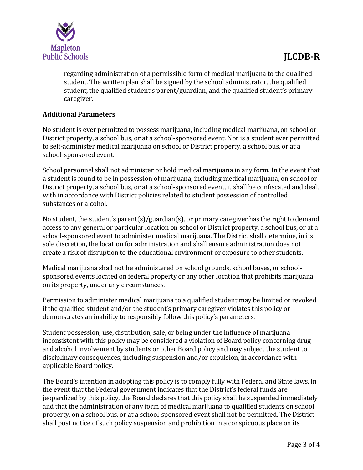

regarding administration of a permissible form of medical marijuana to the qualified student. The written plan shall be signed by the school administrator, the qualified student, the qualified student's parent/guardian, and the qualified student's primary caregiver.

### **Additional Parameters**

No student is ever permitted to possess marijuana, including medical marijuana, on school or District property, a school bus, or at a school-sponsored event. Nor is a student ever permitted to self-administer medical marijuana on school or District property, a school bus, or at a school-sponsored event.

School personnel shall not administer or hold medical marijuana in any form. In the event that a student is found to be in possession of marijuana, including medical marijuana, on school or District property, a school bus, or at a school-sponsored event, it shall be confiscated and dealt with in accordance with District policies related to student possession of controlled substances or alcohol.

No student, the student's parent(s)/guardian(s), or primary caregiver has the right to demand access to any general or particular location on school or District property, a school bus, or at a school-sponsored event to administer medical marijuana. The District shall determine, in its sole discretion, the location for administration and shall ensure administration does not create a risk of disruption to the educational environment or exposure to other students.

Medical marijuana shall not be administered on school grounds, school buses, or schoolsponsored events located on federal property or any other location that prohibits marijuana on its property, under any circumstances.

Permission to administer medical marijuana to a qualified student may be limited or revoked if the qualified student and/or the student's primary caregiver violates this policy or demonstrates an inability to responsibly follow this policy's parameters.

Student possession, use, distribution, sale, or being under the influence of marijuana inconsistent with this policy may be considered a violation of Board policy concerning drug and alcohol involvement by students or other Board policy and may subject the student to disciplinary consequences, including suspension and/or expulsion, in accordance with applicable Board policy.

The Board's intention in adopting this policy is to comply fully with Federal and State laws. In the event that the Federal government indicates that the District's federal funds are jeopardized by this policy, the Board declares that this policy shall be suspended immediately and that the administration of any form of medical marijuana to qualified students on school property, on a school bus, or at a school-sponsored event shall not be permitted. The District shall post notice of such policy suspension and prohibition in a conspicuous place on its